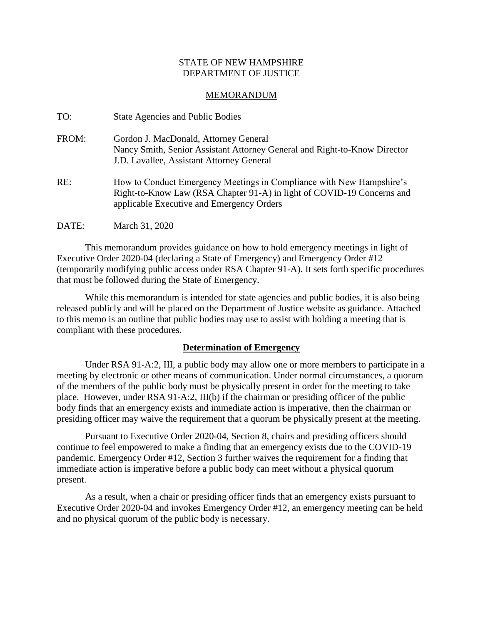## STATE OF NEW HAMPSHIRE DEPARTMENT OF JUSTICE

#### MEMORANDUM

| TO:   | <b>State Agencies and Public Bodies</b>                                                                                                                                                     |
|-------|---------------------------------------------------------------------------------------------------------------------------------------------------------------------------------------------|
| FROM: | Gordon J. MacDonald, Attorney General<br>Nancy Smith, Senior Assistant Attorney General and Right-to-Know Director<br>J.D. Lavallee, Assistant Attorney General                             |
| RE:   | How to Conduct Emergency Meetings in Compliance with New Hampshire's<br>Right-to-Know Law (RSA Chapter 91-A) in light of COVID-19 Concerns and<br>applicable Executive and Emergency Orders |
| DATE: | March 31, 2020                                                                                                                                                                              |

This memorandum provides guidance on how to hold emergency meetings in light of Executive Order 2020-04 (declaring a State of Emergency) and Emergency Order #12 (temporarily modifying public access under RSA Chapter 91-A). It sets forth specific procedures that must be followed during the State of Emergency.

While this memorandum is intended for state agencies and public bodies, it is also being released publicly and will be placed on the Department of Justice website as guidance. Attached to this memo is an outline that public bodies may use to assist with holding a meeting that is compliant with these procedures.

# **Determination of Emergency**

Under RSA 91-A:2, III, a public body may allow one or more members to participate in a meeting by electronic or other means of communication. Under normal circumstances, a quorum of the members of the public body must be physically present in order for the meeting to take place. However, under RSA 91-A:2, III(b) if the chairman or presiding officer of the public body finds that an emergency exists and immediate action is imperative, then the chairman or presiding officer may waive the requirement that a quorum be physically present at the meeting.

Pursuant to Executive Order 2020-04, Section 8, chairs and presiding officers should continue to feel empowered to make a finding that an emergency exists due to the COVID-19 pandemic. Emergency Order #12, Section 3 further waives the requirement for a finding that immediate action is imperative before a public body can meet without a physical quorum present.

As a result, when a chair or presiding officer finds that an emergency exists pursuant to Executive Order 2020-04 and invokes Emergency Order #12, an emergency meeting can be held and no physical quorum of the public body is necessary.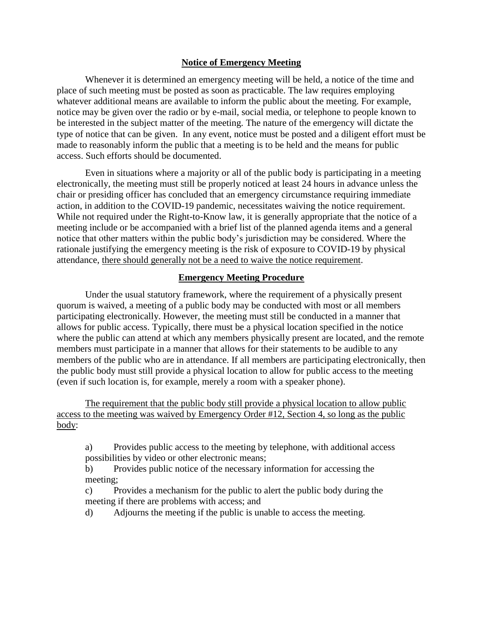## **Notice of Emergency Meeting**

Whenever it is determined an emergency meeting will be held, a notice of the time and place of such meeting must be posted as soon as practicable. The law requires employing whatever additional means are available to inform the public about the meeting. For example, notice may be given over the radio or by e-mail, social media, or telephone to people known to be interested in the subject matter of the meeting. The nature of the emergency will dictate the type of notice that can be given. In any event, notice must be posted and a diligent effort must be made to reasonably inform the public that a meeting is to be held and the means for public access. Such efforts should be documented.

Even in situations where a majority or all of the public body is participating in a meeting electronically, the meeting must still be properly noticed at least 24 hours in advance unless the chair or presiding officer has concluded that an emergency circumstance requiring immediate action, in addition to the COVID-19 pandemic, necessitates waiving the notice requirement. While not required under the Right-to-Know law, it is generally appropriate that the notice of a meeting include or be accompanied with a brief list of the planned agenda items and a general notice that other matters within the public body's jurisdiction may be considered. Where the rationale justifying the emergency meeting is the risk of exposure to COVID-19 by physical attendance, there should generally not be a need to waive the notice requirement.

# **Emergency Meeting Procedure**

Under the usual statutory framework, where the requirement of a physically present quorum is waived, a meeting of a public body may be conducted with most or all members participating electronically. However, the meeting must still be conducted in a manner that allows for public access. Typically, there must be a physical location specified in the notice where the public can attend at which any members physically present are located, and the remote members must participate in a manner that allows for their statements to be audible to any members of the public who are in attendance. If all members are participating electronically, then the public body must still provide a physical location to allow for public access to the meeting (even if such location is, for example, merely a room with a speaker phone).

The requirement that the public body still provide a physical location to allow public access to the meeting was waived by Emergency Order #12, Section 4, so long as the public body:

a) Provides public access to the meeting by telephone, with additional access possibilities by video or other electronic means;

b) Provides public notice of the necessary information for accessing the meeting;

c) Provides a mechanism for the public to alert the public body during the meeting if there are problems with access; and

d) Adjourns the meeting if the public is unable to access the meeting.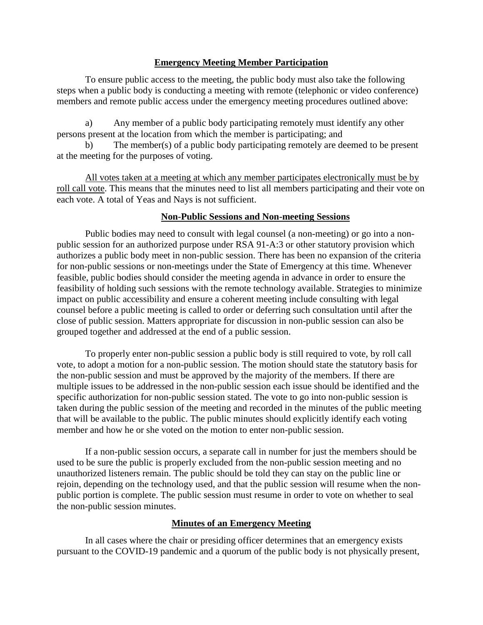## **Emergency Meeting Member Participation**

To ensure public access to the meeting, the public body must also take the following steps when a public body is conducting a meeting with remote (telephonic or video conference) members and remote public access under the emergency meeting procedures outlined above:

a) Any member of a public body participating remotely must identify any other persons present at the location from which the member is participating; and

b) The member(s) of a public body participating remotely are deemed to be present at the meeting for the purposes of voting.

All votes taken at a meeting at which any member participates electronically must be by roll call vote. This means that the minutes need to list all members participating and their vote on each vote. A total of Yeas and Nays is not sufficient.

#### **Non-Public Sessions and Non-meeting Sessions**

Public bodies may need to consult with legal counsel (a non-meeting) or go into a nonpublic session for an authorized purpose under RSA 91-A:3 or other statutory provision which authorizes a public body meet in non-public session. There has been no expansion of the criteria for non-public sessions or non-meetings under the State of Emergency at this time. Whenever feasible, public bodies should consider the meeting agenda in advance in order to ensure the feasibility of holding such sessions with the remote technology available. Strategies to minimize impact on public accessibility and ensure a coherent meeting include consulting with legal counsel before a public meeting is called to order or deferring such consultation until after the close of public session. Matters appropriate for discussion in non-public session can also be grouped together and addressed at the end of a public session.

To properly enter non-public session a public body is still required to vote, by roll call vote, to adopt a motion for a non-public session. The motion should state the statutory basis for the non-public session and must be approved by the majority of the members. If there are multiple issues to be addressed in the non-public session each issue should be identified and the specific authorization for non-public session stated. The vote to go into non-public session is taken during the public session of the meeting and recorded in the minutes of the public meeting that will be available to the public. The public minutes should explicitly identify each voting member and how he or she voted on the motion to enter non-public session.

If a non-public session occurs, a separate call in number for just the members should be used to be sure the public is properly excluded from the non-public session meeting and no unauthorized listeners remain. The public should be told they can stay on the public line or rejoin, depending on the technology used, and that the public session will resume when the nonpublic portion is complete. The public session must resume in order to vote on whether to seal the non-public session minutes.

# **Minutes of an Emergency Meeting**

In all cases where the chair or presiding officer determines that an emergency exists pursuant to the COVID-19 pandemic and a quorum of the public body is not physically present,